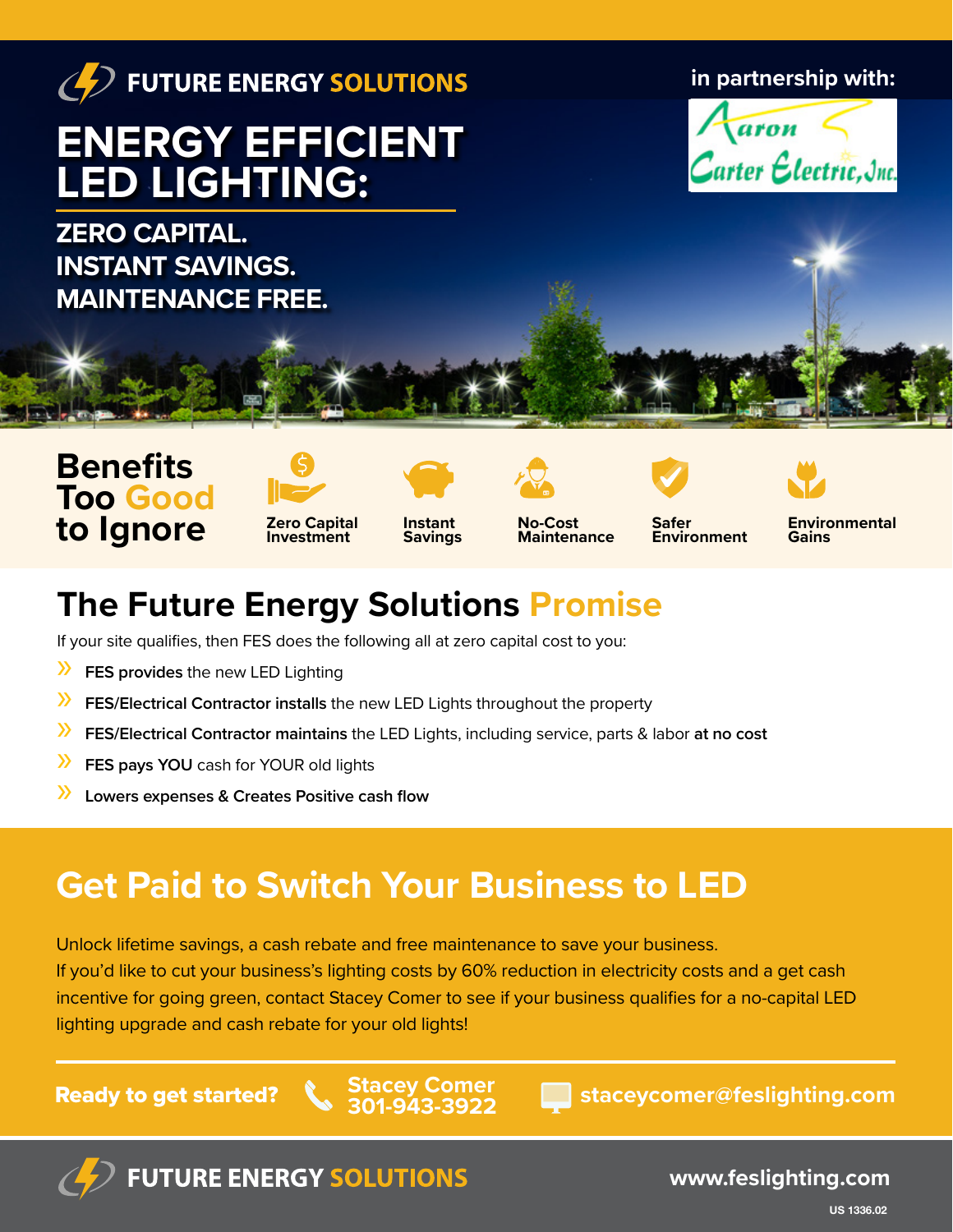

**Too Good to Ignore**



**Instant Savings**





**Environment**

**Environmental Gains**

## **The Future Energy Solutions Promise**

If your site qualifies, then FES does the following all at zero capital cost to you:

- » **FES provides** the new LED Lighting
- » **FES/Electrical Contractor installs** the new LED Lights throughout the property
- » **FES/Electrical Contractor maintains** the LED Lights, including service, parts & labor **at no cost**
- » **FES pays YOU** cash for YOUR old lights
- » **Lowers expenses & Creates Positive cash flow**

## **Get Paid to Switch Your Business to LED**

Unlock lifetime savings, a cash rebate and free maintenance to save your business. If you'd like to cut your business's lighting costs by 60% reduction in electricity costs and a get cash incentive for going green, contact Stacey Comer to see if your business qualifies for a no-capital LED lighting upgrade and cash rebate for your old lights!

**Stacey Comer 301-943-3922**

Ready to get started? **staceycomer@feslighting.com**



**FUTURE ENERGY SOLUTIONS** 

**www.feslighting.com**